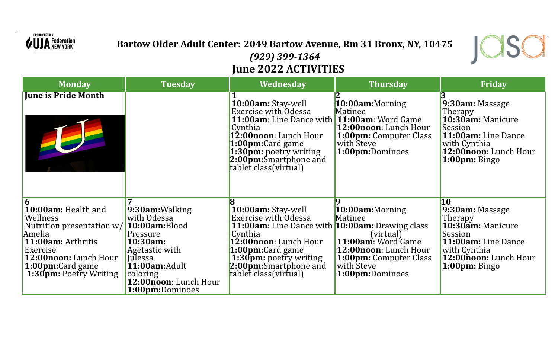

.

## **Bartow Older Adult Center: 2049 Bartow Avenue, Rm 31 Bronx, NY, 10475** *(929) 399-1364* **June 2022 ACTIVITIES**

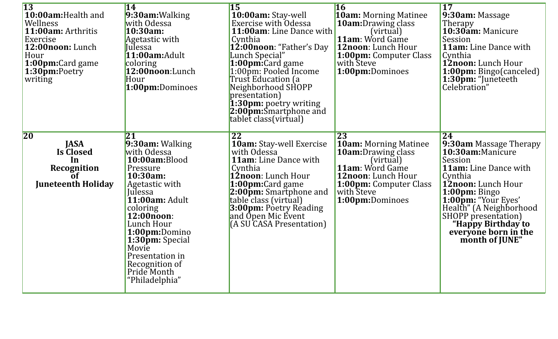| $\overline{13}$<br>10:00am: Health and<br>Wellness<br>11:00am: Arthritis<br>Exercise<br>12:00noon: Lunch<br>Hour<br>1:00pm:Card game<br>1:30pm:Poetry<br>writing | 14<br>9:30am: Walking<br>with Odessa<br>10:30am:<br>Agetastic with<br>Julessa<br>11:00am: Adult<br>coloring<br>12:00noon:Lunch<br>Hour<br>1:00pm:Dominoes                                                                                                                               | $\overline{15}$<br>10:00am: Stay-well<br><b>Exercise with Odessa</b><br>11:00am: Line Dance with<br>Cynthia<br>12:00noon: "Father's Day<br>Lunch Special"<br>1:00pm:Card game<br>1:00pm: Pooled Income<br>Trust Education (a<br>Neighborhood SHOPP<br>presentation)<br>1:30pm: poetry writing<br>2:00pm:Smartphone and<br>tablet class (virtual) | $\overline{16}$<br><b>10am:</b> Morning Matinee<br><b>10am:</b> Drawing class<br>(virtual)<br><b>11am:</b> Word Game<br>12noon: Lunch Hour<br>1:00pm: Computer Class<br>with Steve<br>1:00pm:Dominoes | <b>17</b><br>$9:30$ am: Massage<br><b>Therapy</b><br>10:30am: Manicure<br>Session<br><b>11am:</b> Line Dance with<br>Cynthia<br><b>12noon:</b> Lunch Hour<br><b>1:00pm:</b> Bingo(canceled)<br>1:30pm: "Juneteeth<br>Celebration"                                                      |
|------------------------------------------------------------------------------------------------------------------------------------------------------------------|-----------------------------------------------------------------------------------------------------------------------------------------------------------------------------------------------------------------------------------------------------------------------------------------|--------------------------------------------------------------------------------------------------------------------------------------------------------------------------------------------------------------------------------------------------------------------------------------------------------------------------------------------------|-------------------------------------------------------------------------------------------------------------------------------------------------------------------------------------------------------|----------------------------------------------------------------------------------------------------------------------------------------------------------------------------------------------------------------------------------------------------------------------------------------|
| <b>20</b><br><b>JASA</b><br><b>Is Closed</b><br>In<br><b>Recognition</b><br>$\overline{0}$ f<br><b>Juneteenth Holiday</b>                                        | 21<br>9:30am: Walking<br>with Odessa<br>10:00am:Blood<br>Pressure<br>10:30am:<br>Agetastic with<br>Julessa<br>11:00am: Adult<br>coloring<br>12:00noon:<br>Lunch Hour<br>1:00pm:Domino<br>1:30pm: Special<br>Movie<br>Presentation in<br>Recognition of<br>Pride Month<br>"Philadelphia" | 22<br><b>10am:</b> Stay-well Exercise<br>with Odessa<br><b>11am:</b> Line Dance with<br>Cynthia<br>12noon: Lunch Hour<br>1:00pm:Card game<br><b>2:00pm:</b> Smartphone and<br>table class (virtual)<br>3:00pm: Poetry Reading<br>and Open Mic Event<br>(A SU CASA Presentation)                                                                  | 23<br><b>10am: Morning Matinee</b><br><b>10am:</b> Drawing class<br>(virtual)<br><b>11am:</b> Word Game<br>12noon: Lunch Hour<br><b>1:00pm:</b> Computer Class<br>with Steve<br>1:00pm:Dominoes       | 24<br>9:30am Massage Therapy<br>10:30am:Manicure<br>Session<br><b>11am:</b> Line Dance with<br>Cynthia<br>12noon: Lunch Hour<br>1:00pm: Bingo<br>1:00pm: "Your Eyes'<br>Health" (A Neighborhood<br>SHOPP presentation)<br>"Happy Birthday to<br>everyone born in the<br>month of JUNE" |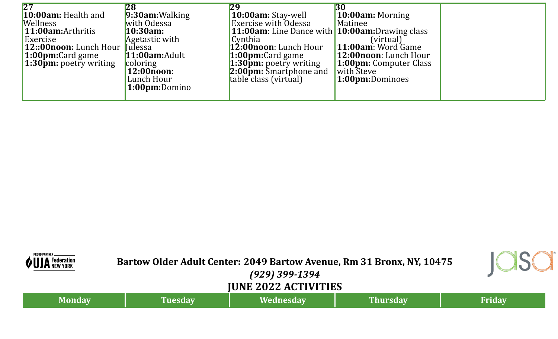| $\overline{27}$<br>$10:00$ am: Health and<br><b>Wellness</b><br>11:00am: Arthritis<br>Exercise<br><b>12::00noon:</b> Lunch Hour lulessa<br><b>1:00pm:</b> Card game<br><b>1:30pm:</b> poetry writing | $9:30$ am:Walking<br>with Odessa<br>10:30am<br>Agetastic with<br>$11:00$ am:Adult<br>coloring<br>12:00noon:<br>Lunch Hour<br>1:00pm:Domino | 29<br>10:00am: Stay-well<br><b>Exercise with Odessa</b><br><b>11:00am</b> : Line Dance with <b>10:00am:</b> Drawing class<br>Cynthia<br>12:00noon: Lunch Hour<br>$1:00$ pm:Card game<br>$1:30$ $\overline{\text{pm}}$ : poetry writing<br>$2:00$ $\bar{p}$ m: Smartphone and<br>table class (virtual) | 30<br>10:00am: Morning<br>Matinee<br>(virtual)<br>11:00am: Word Game<br>12:00noon: Lunch Hour<br><b>1:00pm:</b> Computer Class<br>with Steve<br>1:00pm:Dominoes |  |
|------------------------------------------------------------------------------------------------------------------------------------------------------------------------------------------------------|--------------------------------------------------------------------------------------------------------------------------------------------|-------------------------------------------------------------------------------------------------------------------------------------------------------------------------------------------------------------------------------------------------------------------------------------------------------|-----------------------------------------------------------------------------------------------------------------------------------------------------------------|--|
|------------------------------------------------------------------------------------------------------------------------------------------------------------------------------------------------------|--------------------------------------------------------------------------------------------------------------------------------------------|-------------------------------------------------------------------------------------------------------------------------------------------------------------------------------------------------------------------------------------------------------------------------------------------------------|-----------------------------------------------------------------------------------------------------------------------------------------------------------------|--|

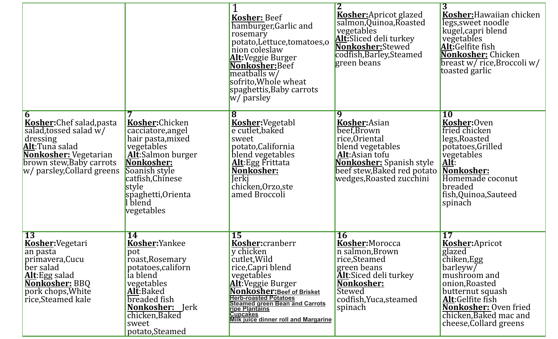|                                                                                                                                                                             |                                                                                                                                                                                                        | <b>Kosher: Beef</b><br>hamburger, Garlic and<br>rosemary<br>potato, Lettuce, tomatoes, o<br>nion coleslaw<br>Alt:Veggie Burger<br>Nonkosher: Beef<br>meatballs w/<br>sofrito, Whole wheat<br>spaghettis, Baby carrots<br>w/ parsley                                                                   | $\overline{2}$<br><b>Kosher:</b> Apricot glazed<br>salmon, Quinoa, Roasted<br>vegetables<br>Alt:Sliced deli turkey<br>Nonkosher:Stewed<br>codfish, Barley, Steamed<br>green beans         | $\overline{3}$<br>Kosher: Hawaiian chicken<br>legs, sweet noodle<br>kugel, capri blend<br>vegetables<br>Alt:Gelfite fish<br>Nonkosher: Chicken<br>breast w/ rice, Broccoli w/<br>toasted garlic                                |
|-----------------------------------------------------------------------------------------------------------------------------------------------------------------------------|--------------------------------------------------------------------------------------------------------------------------------------------------------------------------------------------------------|-------------------------------------------------------------------------------------------------------------------------------------------------------------------------------------------------------------------------------------------------------------------------------------------------------|-------------------------------------------------------------------------------------------------------------------------------------------------------------------------------------------|--------------------------------------------------------------------------------------------------------------------------------------------------------------------------------------------------------------------------------|
| <b>Kosher:</b> Chef salad, pasta<br>salad, tossed salad w/<br>dressing<br>Alt:Tuna salad<br>Nonkosher: Vegetarian<br>brown stew, Baby carrots<br>w/ parsley, Collard greens | Kosher:Chicken<br>cacciatore, angel<br>hair pasta, mixed<br>vegetables<br>Alt:Salmon burger<br>Nonkosher:<br>Soanish style<br>catfish, Chinese<br>style<br>spaghetti, Orienta<br>l blend<br>vegetables | Kosher: Vegetabl<br>e cutlet, baked<br>sweet<br>potato, California<br>blend vegetables<br>Alt: Egg Frittata<br>Nonkosher:<br><b>Jerki</b><br>chicken, Orzo, ste<br>amed Broccoli                                                                                                                      | 9<br>Kosher:Asian<br>beef, Brown<br>rice, Oriental<br>blend vegetables<br>Alt:Asian tofu<br>Nonkosher: Spanish style<br>beef stew, Baked red potato<br>wedges,Roasted zucchini            | <b>10</b><br>Kosher:Oven<br>fried chicken<br>legs, Roasted<br>potatoes, Grilled<br>vegetables<br><u>Alt</u> :<br>Nonkosher:<br>Homemade coconut<br>breaded<br>fish, Quinoa, Sauteed<br>spinach                                 |
| <b>13</b><br><b>Kosher:</b> Vegetari<br>an pasta<br>primavera, Cucu<br>ber salad<br>Alt:Egg salad<br><b>Nonkosher: BBQ</b><br>pork chops, White<br>rice, Steamed kale       | <b>14</b><br>Kosher:Yankee<br>pot<br>roast, Rosemary<br>potatoes, californ<br>ia blend<br>vegetables<br>Alt:Baked<br>breaded fish<br>Nonkosher:<br>Jerk<br>chicken, Baked<br>sweet<br>potato, Steamed  | <b>15</b><br>Kosher:cranberr<br>y chicken<br>cutlet, Wild<br>rice, Capri blend<br>vegetables<br>Alt:Veggie Burger<br>Nonkosher: Beef of Brisket<br><b>Herb-roasted Potatoes</b><br><b>Steamed green Bean and Carrots</b><br>ripe Plantains<br><b>Cupcakes</b><br>Milk juice dinner roll and Margarine | <b>16</b><br>Kosher:Morocca<br>n salmon, Brown<br>rice, Steamed<br>green beans<br><b>Alt:Siced deli turkey</b><br><u>Nonkosher:</u><br>Stewed<br>codfish, Yuca, steamed<br><b>spinach</b> | 17<br><b>Kosher:Apricot</b><br>glazed<br>chiken, Egg<br>barleyw/<br>mushroom and<br>onion, Roasted<br>butternut squash<br>Alt:Gelfite fish<br><b>Nonkosher: Oven fried</b><br>chicken, Baked mac and<br>cheese, Collard greens |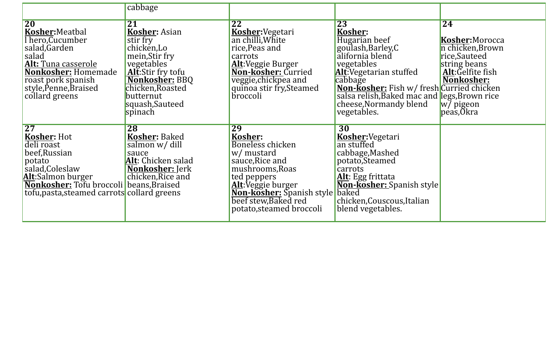|                                                                                                                                                                                                                  | cabbage                                                                                                                                                                                            |                                                                                                                                                                                                                   |                                                                                                                                                                                                                                                                                      |                                                                                                                                                                     |
|------------------------------------------------------------------------------------------------------------------------------------------------------------------------------------------------------------------|----------------------------------------------------------------------------------------------------------------------------------------------------------------------------------------------------|-------------------------------------------------------------------------------------------------------------------------------------------------------------------------------------------------------------------|--------------------------------------------------------------------------------------------------------------------------------------------------------------------------------------------------------------------------------------------------------------------------------------|---------------------------------------------------------------------------------------------------------------------------------------------------------------------|
| <b>20</b><br>Kosher: Meatbal<br>l hero, Cucumber<br>salad, Garden<br>salad<br><b>Alt: Tuna casserole</b><br>Nonkosher: Homemade<br>roast pork spanish<br>style, Penne, Braised<br>collard greens                 | 21<br><b>Kosher: Asian</b><br>stir fry<br>chicken, Lo<br>mein, Stir fry<br>vegetables<br>Alt:Stir fry tofu<br><b>Nonkosher: BBQ</b><br>chicken, Roasted<br>butternut<br>squash, Sauteed<br>spinach | $\overline{22}$<br>Kosher: Vegetari<br>an chilli, White<br>rice, Peas and<br>carrots<br>Alt:Veggie Burger<br>Non-kosher: Curried<br>veggie, chickpea and<br>quinoa stir fry, Steamed<br>broccoli                  | $\overline{23}$<br>Kosher:<br>Hugarian beef<br>goulash, Barley, C<br>alifornia blend<br>vegetables<br>Alt:Vegetarian stuffed<br>cabbage<br><b>Non-Kosher:</b> Fish w/ fresh Curried chicken<br>salsa relish, Baked mac and legs, Brown rice<br>cheese, Normandy blend<br>vegetables. | $\overline{24}$<br>Kosher:Morocca<br>n chicken, Brown<br>rice,Sauteed<br>string beans<br>Alt:Gelfite fish<br>Nonkosher:<br>$\vert w / \rangle$ pigeon<br>peas, Okra |
| $\overline{27}$<br>Kosher: Hot<br>deli roast<br>beef, Russian<br>potato<br>salad, Coleslaw<br>Alt:Salmon burger<br><b>Nonkosher:</b> Tofu broccoli beans, Braised<br>tofu, pasta, steamed carrots collard greens | <b>28</b><br><b>Kosher: Baked</b><br>salmon w/ dill<br>sauce<br>Alt: Chicken salad<br><b>Nonkosher: Jerk</b><br>chicken, Rice and                                                                  | 29<br>Kosher:<br>Boneless chicken<br>w/ mustard<br>sauce, Rice and<br>mushrooms, Roas<br>ted peppers<br>Alt: Veggie burger<br>Non-kosher: Spanish style baked<br>beef stew, Baked red<br>potato, steamed broccoli | 30<br>Kosher:Vegetari<br>an stuffed<br>cabbage, Mashed<br>potato, Steamed<br>carrots<br>Alt: Egg frittata<br>Non-kosher: Spanish style<br>chicken, Couscous, Italian<br>blend vegetables.                                                                                            |                                                                                                                                                                     |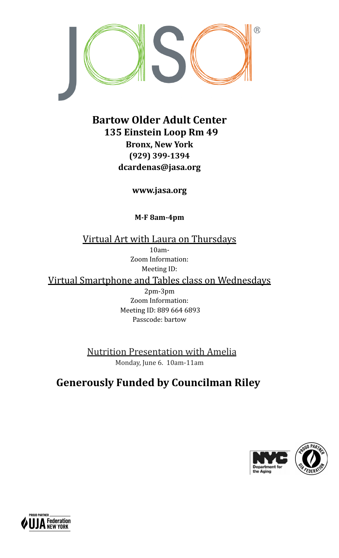

## **Bartow Older Adult Center 135 Einstein Loop Rm 49 Bronx, New York (929) 399-1394 dcardenas@jasa.org**

**www.jasa.org**

**M-F 8am-4pm**

Virtual Art with Laura on Thursdays 10am-Zoom Information: Meeting ID: Virtual Smartphone and Tables class on Wednesdays 2pm-3pm Zoom Information:

Meeting ID: 889 664 6893 Passcode: bartow

Nutrition Presentation with Amelia Monday, June 6. 10am-11am

## **Generously Funded by Councilman Riley**